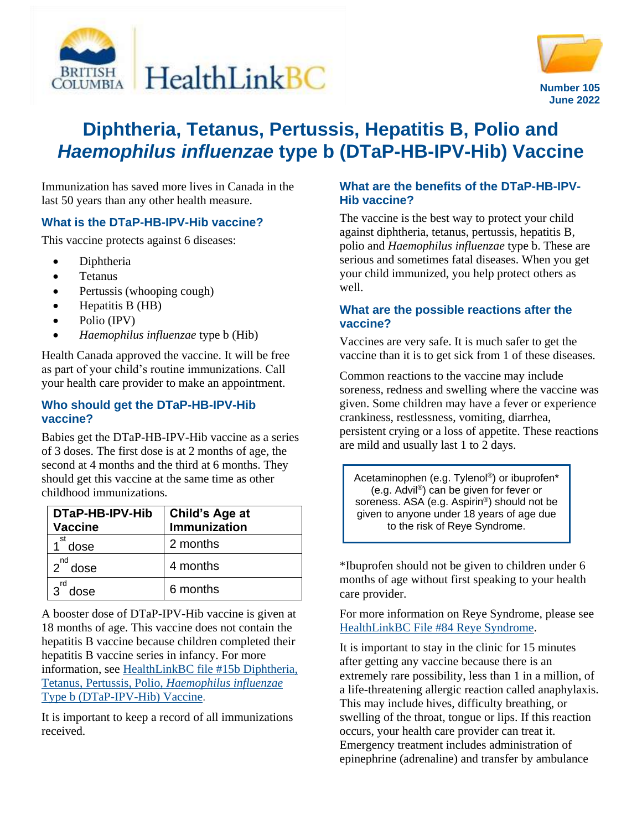



# **Diphtheria, Tetanus, Pertussis, Hepatitis B, Polio and** *Haemophilus influenzae* **type b (DTaP-HB-IPV-Hib) Vaccine**

Immunization has saved more lives in Canada in the last 50 years than any other health measure.

## **What is the DTaP-HB-IPV-Hib vaccine?**

This vaccine protects against 6 diseases:

- Diphtheria
- Tetanus
- Pertussis (whooping cough)
- $\bullet$  Hepatitis B (HB)
- Polio (IPV)
- *Haemophilus influenzae* type b (Hib)

Health Canada approved the vaccine. It will be free as part of your child's routine immunizations. Call your health care provider to make an appointment.

#### **Who should get the DTaP-HB-IPV-Hib vaccine?**

Babies get the DTaP-HB-IPV-Hib vaccine as a series of 3 doses. The first dose is at 2 months of age, the second at 4 months and the third at 6 months. They should get this vaccine at the same time as other childhood immunizations.

| DTaP-HB-IPV-Hib<br><b>Vaccine</b> | <b>Child's Age at</b><br>Immunization |
|-----------------------------------|---------------------------------------|
| st<br>dose                        | 2 months                              |
| nd<br>$\mathcal{P}$<br>dose       | 4 months                              |
| dose                              | 6 months                              |

A booster dose of DTaP-IPV-Hib vaccine is given at 18 months of age. This vaccine does not contain the hepatitis B vaccine because children completed their hepatitis B vaccine series in infancy. For more information, see [HealthLinkBC file #15b Diphtheria,](https://www.healthlinkbc.ca/healthlinkbc-files/dtap-ipv-hib-vaccine)  Tetanus, [Pertussis, Polio,](https://www.healthlinkbc.ca/healthlinkbc-files/dtap-ipv-hib-vaccine) *Haemophilus influenzae* [Type b \(DTaP-IPV-Hib\) Vaccine.](https://www.healthlinkbc.ca/healthlinkbc-files/dtap-ipv-hib-vaccine)

It is important to keep a record of all immunizations received.

### **What are the benefits of the DTaP-HB-IPV-Hib vaccine?**

The vaccine is the best way to protect your child against diphtheria, tetanus, pertussis, hepatitis B, polio and *Haemophilus influenzae* type b. These are serious and sometimes fatal diseases. When you get your child immunized, you help protect others as well.

### **What are the possible reactions after the vaccine?**

Vaccines are very safe. It is much safer to get the vaccine than it is to get sick from 1 of these diseases.

Common reactions to the vaccine may include soreness, redness and swelling where the vaccine was given. Some children may have a fever or experience crankiness, restlessness, vomiting, diarrhea, persistent crying or a loss of appetite. These reactions are mild and usually last 1 to 2 days.

Acetaminophen (e.g. Tylenol®) or ibuprofen\* (e.g. Advil®) can be given for fever or soreness. ASA (e.g. Aspirin®) should not be given to anyone under 18 years of age due to the risk of Reye Syndrome.

\*Ibuprofen should not be given to children under 6 months of age without first speaking to your health care provider.

For more information on Reye Syndrome, please see [HealthLinkBC File #84 Reye Syndrome.](https://www.healthlinkbc.ca/healthlinkbc-files/reye-syndrome)

It is important to stay in the clinic for 15 minutes after getting any vaccine because there is an extremely rare possibility, less than 1 in a million, of a life-threatening allergic reaction called anaphylaxis. This may include hives, difficulty breathing, or swelling of the throat, tongue or lips. If this reaction occurs, your health care provider can treat it. Emergency treatment includes administration of epinephrine (adrenaline) and transfer by ambulance